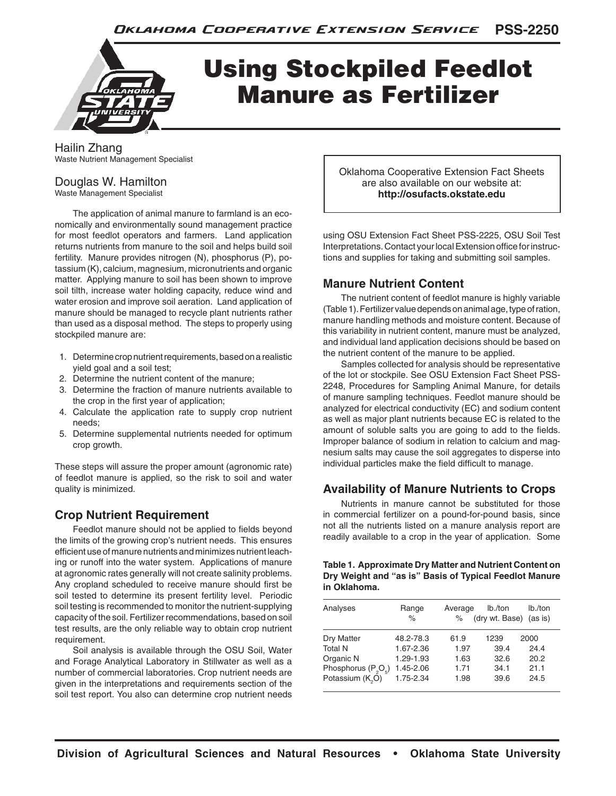

# Using Stockpiled Feedlot Manure as Fertilizer

Hailin Zhang Waste Nutrient Management Specialist

## Douglas W. Hamilton

Waste Management Specialist

The application of animal manure to farmland is an economically and environmentally sound management practice for most feedlot operators and farmers. Land application returns nutrients from manure to the soil and helps build soil fertility. Manure provides nitrogen (N), phosphorus (P), potassium (K), calcium, magnesium, micronutrients and organic matter. Applying manure to soil has been shown to improve soil tilth, increase water holding capacity, reduce wind and water erosion and improve soil aeration. Land application of manure should be managed to recycle plant nutrients rather than used as a disposal method. The steps to properly using stockpiled manure are:

- 1. Determine crop nutrient requirements, based on a realistic yield goal and a soil test;
- 2. Determine the nutrient content of the manure;
- 3. Determine the fraction of manure nutrients available to the crop in the first year of application;
- 4. Calculate the application rate to supply crop nutrient needs;
- 5. Determine supplemental nutrients needed for optimum crop growth.

These steps will assure the proper amount (agronomic rate) of feedlot manure is applied, so the risk to soil and water quality is minimized.

### **Crop Nutrient Requirement**

Feedlot manure should not be applied to fields beyond the limits of the growing crop's nutrient needs. This ensures efficient use of manure nutrients and minimizes nutrient leaching or runoff into the water system. Applications of manure at agronomic rates generally will not create salinity problems. Any cropland scheduled to receive manure should first be soil tested to determine its present fertility level. Periodic soil testing is recommended to monitor the nutrient-supplying capacity of the soil. Fertilizer recommendations, based on soil test results, are the only reliable way to obtain crop nutrient requirement.

Soil analysis is available through the OSU Soil, Water and Forage Analytical Laboratory in Stillwater as well as a number of commercial laboratories. Crop nutrient needs are given in the interpretations and requirements section of the soil test report. You also can determine crop nutrient needs

Oklahoma Cooperative Extension Fact Sheets are also available on our website at: **http://osufacts.okstate.edu**

using OSU Extension Fact Sheet PSS-2225, OSU Soil Test Interpretations. Contact your local Extension office for instructions and supplies for taking and submitting soil samples.

#### **Manure Nutrient Content**

The nutrient content of feedlot manure is highly variable (Table 1). Fertilizer value depends on animal age, type of ration, manure handling methods and moisture content. Because of this variability in nutrient content, manure must be analyzed, and individual land application decisions should be based on the nutrient content of the manure to be applied.

Samples collected for analysis should be representative of the lot or stockpile. See OSU Extension Fact Sheet PSS-2248, Procedures for Sampling Animal Manure, for details of manure sampling techniques. Feedlot manure should be analyzed for electrical conductivity (EC) and sodium content as well as major plant nutrients because EC is related to the amount of soluble salts you are going to add to the fields. Improper balance of sodium in relation to calcium and magnesium salts may cause the soil aggregates to disperse into individual particles make the field difficult to manage.

#### **Availability of Manure Nutrients to Crops**

Nutrients in manure cannot be substituted for those in commercial fertilizer on a pound-for-pound basis, since not all the nutrients listed on a manure analysis report are readily available to a crop in the year of application. Some

| Table 1. Approximate Dry Matter and Nutrient Content on |
|---------------------------------------------------------|
| Dry Weight and "as is" Basis of Typical Feedlot Manure  |
| in Oklahoma.                                            |

| Analyses                     | Range<br>$\%$ | Average<br>$\%$ | lb./ton<br>(dry wt. Base) | lb./ton<br>(as is) |
|------------------------------|---------------|-----------------|---------------------------|--------------------|
| Dry Matter                   | 48.2-78.3     | 61.9            | 1239                      | 2000               |
| <b>Total N</b>               | 1.67-2.36     | 1.97            | 39.4                      | 24.4               |
| Organic N                    | 1.29-1.93     | 1.63            | 32.6                      | 20.2               |
| Phosphorus $(P_2O_5)$        | 1.45-2.06     | 1.71            | 34.1                      | 21.1               |
| Potassium (K <sub>o</sub> O) | 1.75-2.34     | 1.98            | 39.6                      | 24.5               |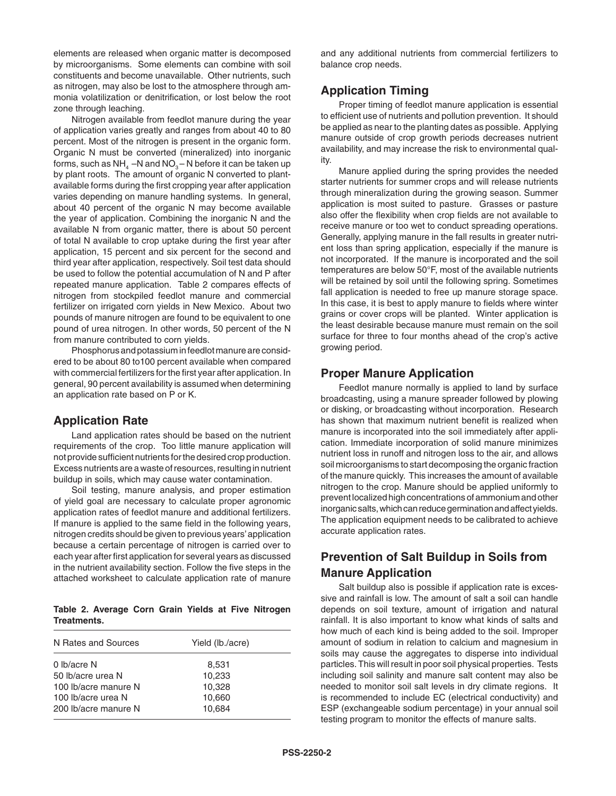elements are released when organic matter is decomposed by microorganisms. Some elements can combine with soil constituents and become unavailable. Other nutrients, such as nitrogen, may also be lost to the atmosphere through ammonia volatilization or denitrification, or lost below the root zone through leaching.

Nitrogen available from feedlot manure during the year of application varies greatly and ranges from about 40 to 80 percent. Most of the nitrogen is present in the organic form. Organic N must be converted (mineralized) into inorganic forms, such as  $NH<sub>A</sub> -N$  and  $NO<sub>3</sub> -N$  before it can be taken up by plant roots. The amount of organic N converted to plantavailable forms during the first cropping year after application varies depending on manure handling systems. In general, about 40 percent of the organic N may become available the year of application. Combining the inorganic N and the available N from organic matter, there is about 50 percent of total N available to crop uptake during the first year after application, 15 percent and six percent for the second and third year after application, respectively. Soil test data should be used to follow the potential accumulation of N and P after repeated manure application. Table 2 compares effects of nitrogen from stockpiled feedlot manure and commercial fertilizer on irrigated corn yields in New Mexico. About two pounds of manure nitrogen are found to be equivalent to one pound of urea nitrogen. In other words, 50 percent of the N from manure contributed to corn yields.

Phosphorus and potassium in feedlot manure are considered to be about 80 to100 percent available when compared with commercial fertilizers for the first year after application. In general, 90 percent availability is assumed when determining an application rate based on P or K.

#### **Application Rate**

Land application rates should be based on the nutrient requirements of the crop. Too little manure application will not provide sufficient nutrients for the desired crop production. Excess nutrients are a waste of resources, resulting in nutrient buildup in soils, which may cause water contamination.

Soil testing, manure analysis, and proper estimation of yield goal are necessary to calculate proper agronomic application rates of feedlot manure and additional fertilizers. If manure is applied to the same field in the following years, nitrogen credits should be given to previous years' application because a certain percentage of nitrogen is carried over to each year after first application for several years as discussed in the nutrient availability section. Follow the five steps in the attached worksheet to calculate application rate of manure

**Table 2. Average Corn Grain Yields at Five Nitrogen Treatments.**

| N Rates and Sources  | Yield (lb./acre) |  |  |  |
|----------------------|------------------|--|--|--|
| 0 lb/acre N          | 8,531            |  |  |  |
| 50 lb/acre urea N    | 10,233           |  |  |  |
| 100 lb/acre manure N | 10,328           |  |  |  |
| 100 lb/acre urea N   | 10,660           |  |  |  |
| 200 lb/acre manure N | 10.684           |  |  |  |

and any additional nutrients from commercial fertilizers to balance crop needs.

#### **Application Timing**

Proper timing of feedlot manure application is essential to efficient use of nutrients and pollution prevention. It should be applied as near to the planting dates as possible. Applying manure outside of crop growth periods decreases nutrient availability, and may increase the risk to environmental quality.

Manure applied during the spring provides the needed starter nutrients for summer crops and will release nutrients through mineralization during the growing season. Summer application is most suited to pasture. Grasses or pasture also offer the flexibility when crop fields are not available to receive manure or too wet to conduct spreading operations. Generally, applying manure in the fall results in greater nutrient loss than spring application, especially if the manure is not incorporated. If the manure is incorporated and the soil temperatures are below 50°F, most of the available nutrients will be retained by soil until the following spring. Sometimes fall application is needed to free up manure storage space. In this case, it is best to apply manure to fields where winter grains or cover crops will be planted. Winter application is the least desirable because manure must remain on the soil surface for three to four months ahead of the crop's active growing period.

#### **Proper Manure Application**

Feedlot manure normally is applied to land by surface broadcasting, using a manure spreader followed by plowing or disking, or broadcasting without incorporation. Research has shown that maximum nutrient benefit is realized when manure is incorporated into the soil immediately after application. Immediate incorporation of solid manure minimizes nutrient loss in runoff and nitrogen loss to the air, and allows soil microorganisms to start decomposing the organic fraction of the manure quickly. This increases the amount of available nitrogen to the crop. Manure should be applied uniformly to prevent localized high concentrations of ammonium and other inorganic salts, which can reduce germination and affect yields. The application equipment needs to be calibrated to achieve accurate application rates.

## **Prevention of Salt Buildup in Soils from Manure Application**

Salt buildup also is possible if application rate is excessive and rainfall is low. The amount of salt a soil can handle depends on soil texture, amount of irrigation and natural rainfall. It is also important to know what kinds of salts and how much of each kind is being added to the soil. Improper amount of sodium in relation to calcium and magnesium in soils may cause the aggregates to disperse into individual particles. This will result in poor soil physical properties. Tests including soil salinity and manure salt content may also be needed to monitor soil salt levels in dry climate regions. It is recommended to include EC (electrical conductivity) and ESP (exchangeable sodium percentage) in your annual soil testing program to monitor the effects of manure salts.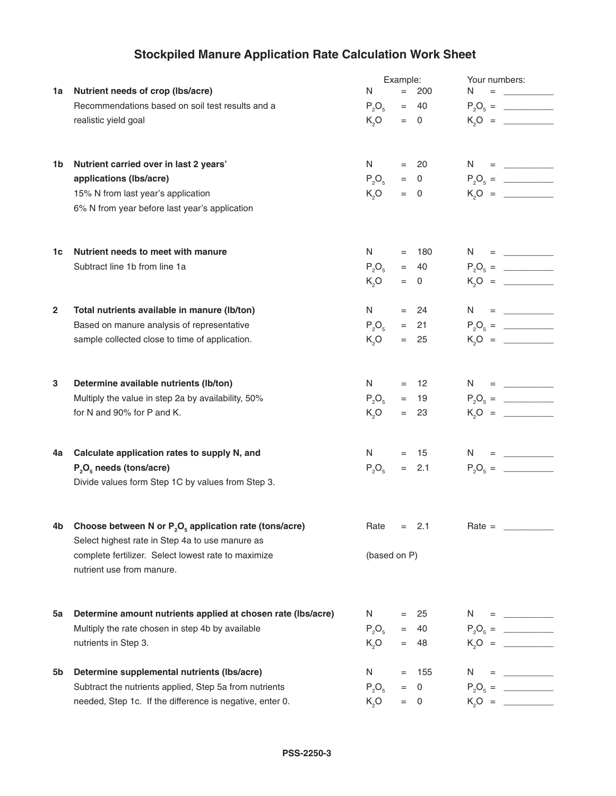# **Stockpiled Manure Application Rate Calculation Work Sheet**

|                         |                                                                                                              | Example:                                                                                                                                                                                                                       |     | Your numbers: |               |                                                                                               |
|-------------------------|--------------------------------------------------------------------------------------------------------------|--------------------------------------------------------------------------------------------------------------------------------------------------------------------------------------------------------------------------------|-----|---------------|---------------|-----------------------------------------------------------------------------------------------|
| 1a l                    | Nutrient needs of crop (lbs/acre)                                                                            | N                                                                                                                                                                                                                              | $=$ | 200           | N.<br>$=$     | <u> 1990 - Jan Jawa Barat, p</u>                                                              |
|                         | Recommendations based on soil test results and a                                                             | $P_2O_5$                                                                                                                                                                                                                       |     | $= 40$        |               |                                                                                               |
|                         | realistic yield goal                                                                                         | $K_5O$                                                                                                                                                                                                                         |     | $= 0$         |               |                                                                                               |
|                         |                                                                                                              |                                                                                                                                                                                                                                |     |               |               |                                                                                               |
| 1b                      | Nutrient carried over in last 2 years'                                                                       | N and the set of the set of the set of the set of the set of the set of the set of the set of the set of the set of the set of the set of the set of the set of the set of the set of the set of the set of the set of the set |     | $= 20$        | $N = \_$      |                                                                                               |
|                         | applications (lbs/acre)                                                                                      | $P_2O_5$                                                                                                                                                                                                                       |     | $= 0$         | $P_2O_5 =$    |                                                                                               |
|                         | 15% N from last year's application                                                                           | $K_0$ O                                                                                                                                                                                                                        |     | $= 0$         |               |                                                                                               |
|                         | 6% N from year before last year's application                                                                |                                                                                                                                                                                                                                |     |               |               |                                                                                               |
| 1c                      | Nutrient needs to meet with manure                                                                           | N and the set of the set of the set of the set of the set of the set of the set of the set of the set of the set of the set of the set of the set of the set of the set of the set of the set of the set of the set of the set |     | $= 180$       | $N = \square$ |                                                                                               |
|                         | Subtract line 1b from line 1a                                                                                | $P_2O_5$                                                                                                                                                                                                                       |     | $= 40$        |               |                                                                                               |
|                         |                                                                                                              | $K_5O$                                                                                                                                                                                                                         |     | $= 0$         |               |                                                                                               |
|                         |                                                                                                              |                                                                                                                                                                                                                                |     |               |               |                                                                                               |
| $\overline{\mathbf{2}}$ | Total nutrients available in manure (Ib/ton)                                                                 | N                                                                                                                                                                                                                              |     | $= 24$        | $N = \square$ |                                                                                               |
|                         | Based on manure analysis of representative                                                                   | $P_5O_5$                                                                                                                                                                                                                       |     | $= 21$        |               | $P_2O_5 =$                                                                                    |
|                         | sample collected close to time of application.                                                               | $K_5O$                                                                                                                                                                                                                         |     | $= 25$        |               |                                                                                               |
|                         |                                                                                                              |                                                                                                                                                                                                                                |     |               |               |                                                                                               |
| 3                       | Determine available nutrients (lb/ton)                                                                       | N                                                                                                                                                                                                                              |     | $= 12$        | $N = \square$ |                                                                                               |
|                         | Multiply the value in step 2a by availability, 50%                                                           | $P_2O_5$                                                                                                                                                                                                                       |     | $= 19$        |               |                                                                                               |
|                         | for N and 90% for P and K.                                                                                   | $K_5O$                                                                                                                                                                                                                         |     | $= 23$        |               |                                                                                               |
|                         |                                                                                                              |                                                                                                                                                                                                                                |     |               |               |                                                                                               |
| 4a                      | Calculate application rates to supply N, and                                                                 | N                                                                                                                                                                                                                              |     | $= 15$        | $N = \square$ |                                                                                               |
|                         | $P_2O_5$ needs (tons/acre)                                                                                   | $P_2O_5$                                                                                                                                                                                                                       |     | $= 2.1$       |               | $P_2O_6 =$                                                                                    |
|                         | Divide values form Step 1C by values from Step 3.                                                            |                                                                                                                                                                                                                                |     |               |               |                                                                                               |
|                         | Choose between N or $P_2O_5$ application rate (tons/acre)<br>Select highest rate in Step 4a to use manure as | $Rate =$                                                                                                                                                                                                                       |     | 2.1           | $Rate =$      |                                                                                               |
|                         | complete fertilizer. Select lowest rate to maximize<br>nutrient use from manure.                             | (based on P)                                                                                                                                                                                                                   |     |               |               |                                                                                               |
| 5a                      | Determine amount nutrients applied at chosen rate (Ibs/acre)                                                 | N.                                                                                                                                                                                                                             | $=$ | 25            | N.            | = <u>__________</u>                                                                           |
|                         | Multiply the rate chosen in step 4b by available                                                             | $P_2O_5$                                                                                                                                                                                                                       | $=$ | 40            |               | $P_2O_5 =$                                                                                    |
|                         | nutrients in Step 3.                                                                                         | $K_2O$                                                                                                                                                                                                                         | $=$ | 48            |               | $K_0Q =$                                                                                      |
|                         |                                                                                                              |                                                                                                                                                                                                                                |     |               |               |                                                                                               |
| 5b                      | Determine supplemental nutrients (Ibs/acre)                                                                  | N                                                                                                                                                                                                                              | $=$ | 155           | N.            | $= \underbrace{\qquad \qquad }_{\qquad \qquad }=\underbrace{\qquad \qquad }_{\qquad \qquad }$ |
|                         | Subtract the nutrients applied, Step 5a from nutrients                                                       | $P_5O_5$                                                                                                                                                                                                                       |     | $= 0$         |               |                                                                                               |
|                         | needed, Step 1c. If the difference is negative, enter 0.                                                     | $K_0O$                                                                                                                                                                                                                         |     | $= 0$         |               |                                                                                               |